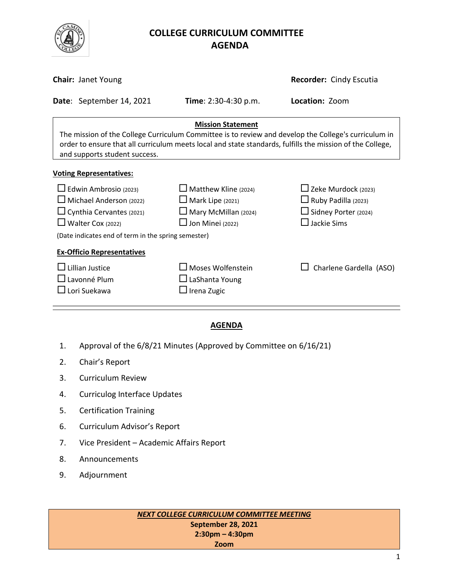

# **COLLEGE CURRICULUM COMMITTEE** **AGENDA**

|                                                                                                                                                                                                                                                                                | <b>Chair: Janet Young</b> | <b>Recorder: Cindy Escutia</b>                                                                                   |                                                                                                               |  |  |  |
|--------------------------------------------------------------------------------------------------------------------------------------------------------------------------------------------------------------------------------------------------------------------------------|---------------------------|------------------------------------------------------------------------------------------------------------------|---------------------------------------------------------------------------------------------------------------|--|--|--|
|                                                                                                                                                                                                                                                                                | Date: September 14, 2021  | Time: 2:30-4:30 p.m.                                                                                             | Location: Zoom                                                                                                |  |  |  |
| <b>Mission Statement</b><br>The mission of the College Curriculum Committee is to review and develop the College's curriculum in<br>order to ensure that all curriculum meets local and state standards, fulfills the mission of the College,<br>and supports student success. |                           |                                                                                                                  |                                                                                                               |  |  |  |
| <b>Voting Representatives:</b>                                                                                                                                                                                                                                                 |                           |                                                                                                                  |                                                                                                               |  |  |  |
| $\Box$ Edwin Ambrosio (2023)<br>$\Box$ Michael Anderson (2022)<br>$\Box$ Cynthia Cervantes (2021)<br>$\Box$ Walter Cox (2022)<br>(Date indicates end of term in the spring semester)                                                                                           |                           | $\Box$ Matthew Kline (2024)<br>$\Box$ Mark Lipe (2021)<br>$\Box$ Mary McMillan (2024)<br>$\Box$ Jon Minei (2022) | $\Box$ Zeke Murdock (2023)<br>$\Box$ Ruby Padilla (2023)<br>$\Box$ Sidney Porter (2024)<br>$\Box$ Jackie Sims |  |  |  |
| <b>Ex-Officio Representatives</b><br>Lillian Justice<br>$\Box$ Lavonné Plum<br>Lori Suekawa                                                                                                                                                                                    |                           | $\sqcup$ Moses Wolfenstein<br>$\Box$ LaShanta Young<br>$\Box$ Irena Zugic                                        | Charlene Gardella (ASO)                                                                                       |  |  |  |

## **AGENDA**

- 1. Approval of the 6/8/21 Minutes (Approved by Committee on 6/16/21)
- 2. Chair's Report
- 3. Curriculum Review
- 4. Curriculog Interface Updates
- 5. Certification Training
- 6. Curriculum Advisor's Report
- 7. Vice President Academic Affairs Report
- 8. Announcements
- 9. Adjournment

*NEXT COLLEGE CURRICULUM COMMITTEE MEETING* **September 28, 2021 2:30pm – 4:30pm Zoom**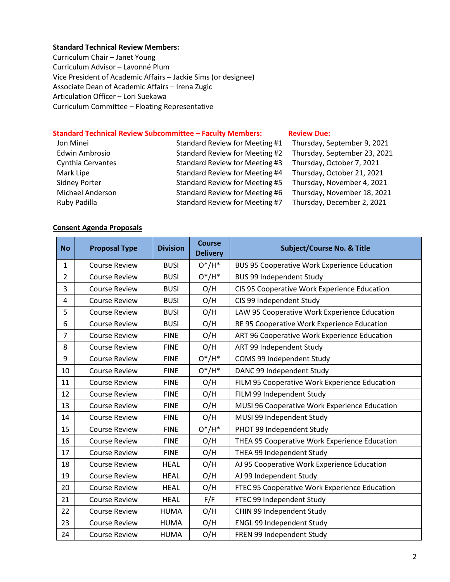#### **Standard Technical Review Members:**

Curriculum Chair – Janet Young Curriculum Advisor – Lavonné Plum Vice President of Academic Affairs – Jackie Sims (or designee) Associate Dean of Academic Affairs – Irena Zugic Articulation Officer – Lori Suekawa Curriculum Committee – Floating Representative

## **Standard Technical Review Subcommittee – Faculty Members: [Review](http://www.curricunet.com/elcamino/documents/Spring%202016%20CCC%20Timeline.pdf) Due:**

| Jon Minei             | Standard Review for Meeting #1 | Thursday, September 9, 2021  |
|-----------------------|--------------------------------|------------------------------|
| <b>Edwin Ambrosio</b> | Standard Review for Meeting #2 | Thursday, September 23, 2021 |
| Cynthia Cervantes     | Standard Review for Meeting #3 | Thursday, October 7, 2021    |
| Mark Lipe             | Standard Review for Meeting #4 | Thursday, October 21, 2021   |
| <b>Sidney Porter</b>  | Standard Review for Meeting #5 | Thursday, November 4, 2021   |
| Michael Anderson      | Standard Review for Meeting #6 | Thursday, November 18, 2021  |
| Ruby Padilla          | Standard Review for Meeting #7 | Thursday, December 2, 2021   |

### **Consent Agenda Proposals**

| <b>No</b>      | <b>Proposal Type</b> | <b>Division</b> | <b>Course</b><br><b>Delivery</b> | <b>Subject/Course No. &amp; Title</b>               |
|----------------|----------------------|-----------------|----------------------------------|-----------------------------------------------------|
| $\mathbf{1}$   | <b>Course Review</b> | <b>BUSI</b>     | $O^*/H^*$                        | <b>BUS 95 Cooperative Work Experience Education</b> |
| $\overline{2}$ | <b>Course Review</b> | <b>BUSI</b>     | $O^*/H^*$                        | <b>BUS 99 Independent Study</b>                     |
| 3              | <b>Course Review</b> | <b>BUSI</b>     | O/H                              | CIS 95 Cooperative Work Experience Education        |
| 4              | <b>Course Review</b> | <b>BUSI</b>     | O/H                              | CIS 99 Independent Study                            |
| 5              | <b>Course Review</b> | <b>BUSI</b>     | O/H                              | LAW 95 Cooperative Work Experience Education        |
| 6              | <b>Course Review</b> | <b>BUSI</b>     | O/H                              | RE 95 Cooperative Work Experience Education         |
| $\overline{7}$ | <b>Course Review</b> | <b>FINE</b>     | O/H                              | ART 96 Cooperative Work Experience Education        |
| 8              | <b>Course Review</b> | <b>FINE</b>     | O/H                              | ART 99 Independent Study                            |
| 9              | <b>Course Review</b> | <b>FINE</b>     | $O^*/H^*$                        | COMS 99 Independent Study                           |
| 10             | <b>Course Review</b> | <b>FINE</b>     | $O^*/H^*$                        | DANC 99 Independent Study                           |
| 11             | <b>Course Review</b> | <b>FINE</b>     | O/H                              | FILM 95 Cooperative Work Experience Education       |
| 12             | <b>Course Review</b> | <b>FINE</b>     | O/H                              | FILM 99 Independent Study                           |
| 13             | <b>Course Review</b> | <b>FINE</b>     | O/H                              | MUSI 96 Cooperative Work Experience Education       |
| 14             | <b>Course Review</b> | <b>FINE</b>     | O/H                              | MUSI 99 Independent Study                           |
| 15             | <b>Course Review</b> | <b>FINE</b>     | $O^*/H^*$                        | PHOT 99 Independent Study                           |
| 16             | <b>Course Review</b> | <b>FINE</b>     | O/H                              | THEA 95 Cooperative Work Experience Education       |
| 17             | <b>Course Review</b> | <b>FINE</b>     | O/H                              | THEA 99 Independent Study                           |
| 18             | <b>Course Review</b> | <b>HEAL</b>     | O/H                              | AJ 95 Cooperative Work Experience Education         |
| 19             | <b>Course Review</b> | <b>HEAL</b>     | O/H                              | AJ 99 Independent Study                             |
| 20             | <b>Course Review</b> | <b>HEAL</b>     | O/H                              | FTEC 95 Cooperative Work Experience Education       |
| 21             | <b>Course Review</b> | <b>HEAL</b>     | F/F                              | FTEC 99 Independent Study                           |
| 22             | <b>Course Review</b> | <b>HUMA</b>     | O/H                              | CHIN 99 Independent Study                           |
| 23             | <b>Course Review</b> | <b>HUMA</b>     | O/H                              | <b>ENGL 99 Independent Study</b>                    |
| 24             | <b>Course Review</b> | <b>HUMA</b>     | O/H                              | FREN 99 Independent Study                           |